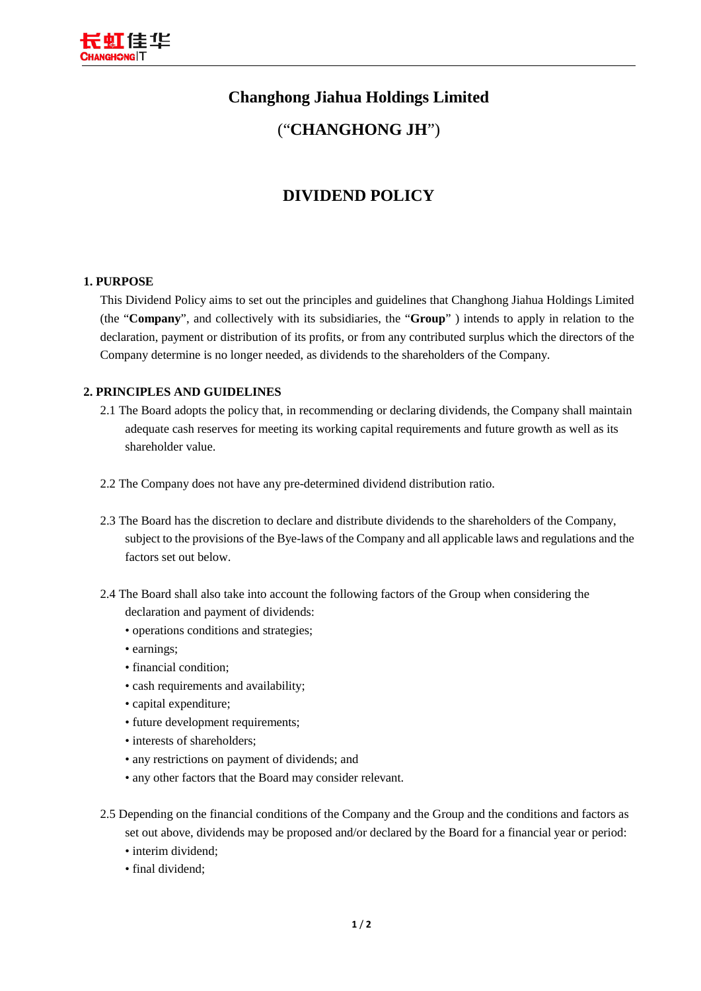

# **Changhong Jiahua Holdings Limited**

### ("**CHANGHONG JH**")

# **DIVIDEND POLICY**

#### **1. PURPOSE**

This Dividend Policy aims to set out the principles and guidelines that Changhong Jiahua Holdings Limited (the "**Company**", and collectively with its subsidiaries, the "**Group**" ) intends to apply in relation to the declaration, payment or distribution of its profits, or from any contributed surplus which the directors of the Company determine is no longer needed, as dividends to the shareholders of the Company.

#### **2. PRINCIPLES AND GUIDELINES**

- 2.1 The Board adopts the policy that, in recommending or declaring dividends, the Company shall maintain adequate cash reserves for meeting its working capital requirements and future growth as well as its shareholder value.
- 2.2 The Company does not have any pre-determined dividend distribution ratio.
- 2.3 The Board has the discretion to declare and distribute dividends to the shareholders of the Company, subject to the provisions of the Bye-laws of the Company and all applicable laws and regulations and the factors set out below.
- 2.4 The Board shall also take into account the following factors of the Group when considering the declaration and payment of dividends:
	- operations conditions and strategies;
	- earnings;
	- financial condition;
	- cash requirements and availability;
	- capital expenditure;
	- future development requirements;
	- interests of shareholders;
	- any restrictions on payment of dividends; and
	- any other factors that the Board may consider relevant.
- 2.5 Depending on the financial conditions of the Company and the Group and the conditions and factors as set out above, dividends may be proposed and/or declared by the Board for a financial year or period:
	- interim dividend;
	- final dividend;